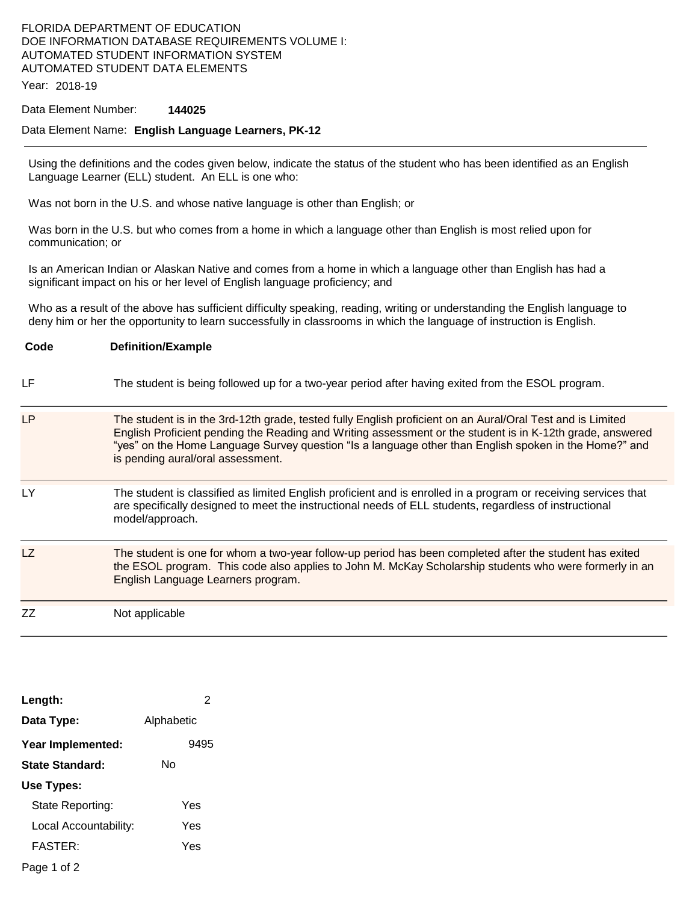# FLORIDA DEPARTMENT OF EDUCATION DOE INFORMATION DATABASE REQUIREMENTS VOLUME I: AUTOMATED STUDENT INFORMATION SYSTEM AUTOMATED STUDENT DATA ELEMENTS

Year: 2018-19

#### Data Element Number: **144025**

#### Data Element Name: **English Language Learners, PK-12**

Using the definitions and the codes given below, indicate the status of the student who has been identified as an English Language Learner (ELL) student. An ELL is one who:

Was not born in the U.S. and whose native language is other than English; or

Was born in the U.S. but who comes from a home in which a language other than English is most relied upon for communication; or

Is an American Indian or Alaskan Native and comes from a home in which a language other than English has had a significant impact on his or her level of English language proficiency; and

Who as a result of the above has sufficient difficulty speaking, reading, writing or understanding the English language to deny him or her the opportunity to learn successfully in classrooms in which the language of instruction is English.

# **Code Definition/Example**  LF The student is being followed up for a two-year period after having exited from the ESOL program. LP The student is in the 3rd-12th grade, tested fully English proficient on an Aural/Oral Test and is Limited English Proficient pending the Reading and Writing assessment or the student is in K-12th grade, answered "yes" on the Home Language Survey question "Is a language other than English spoken in the Home?" and is pending aural/oral assessment. LY The student is classified as limited English proficient and is enrolled in a program or receiving services that are specifically designed to meet the instructional needs of ELL students, regardless of instructional model/approach. LZ The student is one for whom a two-year follow-up period has been completed after the student has exited the ESOL program. This code also applies to John M. McKay Scholarship students who were formerly in an English Language Learners program. ZZ Not applicable

| Length:               | 2          |
|-----------------------|------------|
| Data Type:            | Alphabetic |
| Year Implemented:     | 9495       |
| State Standard:       | N٥         |
| Use Types:            |            |
| State Reporting:      | Yes        |
| Local Accountability: | Yes        |
| FASTER:               | Yes        |
| Dogo 1 of 2           |            |